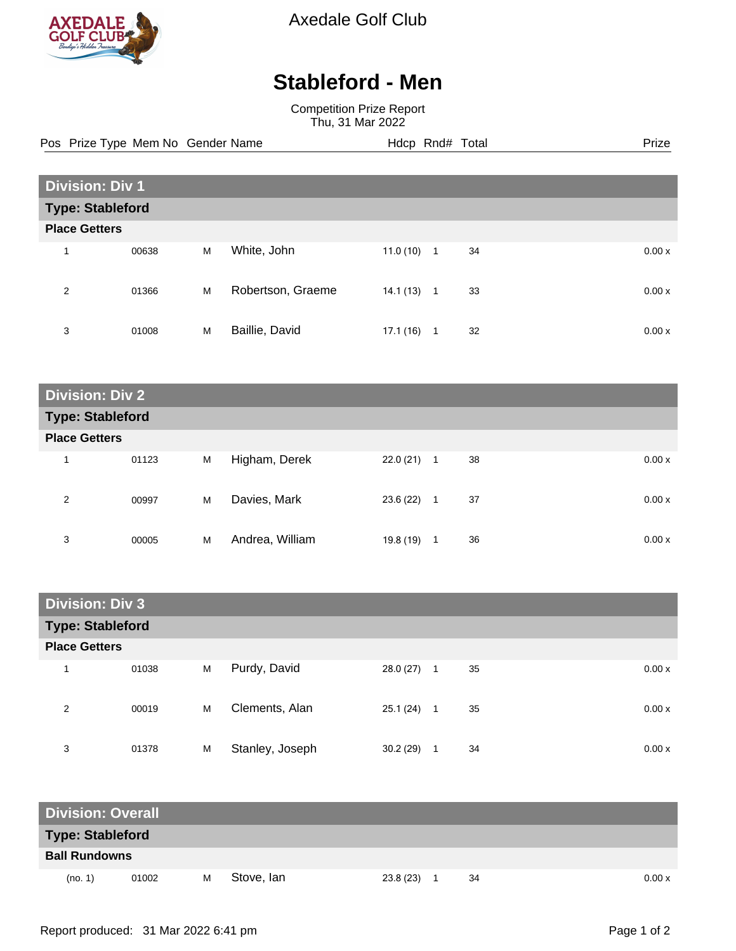

Axedale Golf Club

## **Stableford - Men**

Competition Prize Report Thu, 31 Mar 2022

Pos Prize Type Mem No Gender Name **Hdcp Rnd# Total** Prize Prize

| <b>Division: Div 1</b>  |       |   |                   |           |                |    |  |       |  |  |
|-------------------------|-------|---|-------------------|-----------|----------------|----|--|-------|--|--|
| <b>Type: Stableford</b> |       |   |                   |           |                |    |  |       |  |  |
| <b>Place Getters</b>    |       |   |                   |           |                |    |  |       |  |  |
| $\overline{\mathbf{A}}$ | 00638 | M | White, John       | 11.0(10)  | 1              | 34 |  | 0.00x |  |  |
| 2                       | 01366 | M | Robertson, Graeme | 14.1 (13) | $\overline{1}$ | 33 |  | 0.00x |  |  |
| 3                       | 01008 | M | Baillie, David    | 17.1 (16) | 1              | 32 |  | 0.00x |  |  |

| <b>Division: Div 2</b>  |       |   |                 |              |              |    |  |       |  |
|-------------------------|-------|---|-----------------|--------------|--------------|----|--|-------|--|
| <b>Type: Stableford</b> |       |   |                 |              |              |    |  |       |  |
| <b>Place Getters</b>    |       |   |                 |              |              |    |  |       |  |
| 1                       | 01123 | M | Higham, Derek   | $22.0(21)$ 1 |              | 38 |  | 0.00x |  |
| 2                       | 00997 | М | Davies, Mark    | 23.6 (22)    | $\mathbf{1}$ | 37 |  | 0.00x |  |
| 3                       | 00005 | M | Andrea, William | 19.8 (19)    | 1            | 36 |  | 0.00x |  |

| <b>Division: Div 3</b>  |                      |   |                 |           |                |    |  |       |  |
|-------------------------|----------------------|---|-----------------|-----------|----------------|----|--|-------|--|
| <b>Type: Stableford</b> |                      |   |                 |           |                |    |  |       |  |
|                         | <b>Place Getters</b> |   |                 |           |                |    |  |       |  |
|                         | 01038                | M | Purdy, David    | 28.0(27)  | $\overline{1}$ | 35 |  | 0.00x |  |
| 2                       | 00019                | M | Clements, Alan  | 25.1 (24) | $\overline{1}$ | 35 |  | 0.00x |  |
| 3                       | 01378                | M | Stanley, Joseph | 30.2(29)  | -1             | 34 |  | 0.00x |  |

| <b>Division: Overall</b> |       |   |            |           |  |     |        |  |
|--------------------------|-------|---|------------|-----------|--|-----|--------|--|
| <b>Type: Stableford</b>  |       |   |            |           |  |     |        |  |
| <b>Ball Rundowns</b>     |       |   |            |           |  |     |        |  |
| (no. 1)                  | 01002 | м | Stove, Ian | 23.8 (23) |  | -34 | 0.00 x |  |